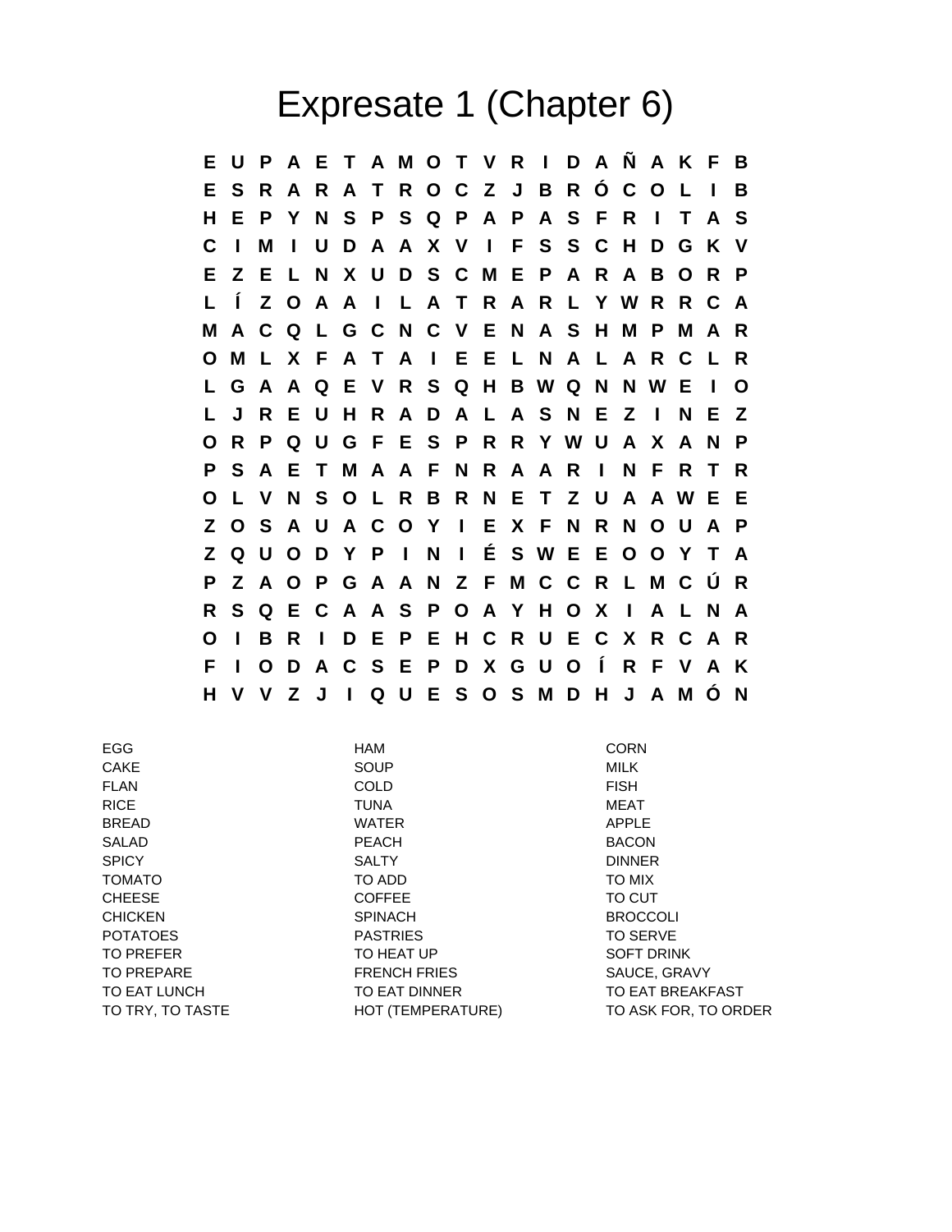## Expresate 1 (Chapter 6)

**E U P A E T A M O T V R I D A Ñ A K F B E S R A R A T R O C Z J B R Ó C O L I B H E P Y N S P S Q P A P A S F R I T A S C I M I U D A A X V I F S S C H D G K V E Z E L N X U D S C M E P A R A B O R P L Í Z O A A I L A T R A R L Y W R R C A M A C Q L G C N C V E N A S H M P M A R O M L X F A T A I E E L N A L A R C L R L G A A Q E V R S Q H B W Q N N W E I O L J R E U H R A D A L A S N E Z I N E Z O R P Q U G F E S P R R Y W U A X A N P P S A E T M A A F N R A A R I N F R T R O L V N S O L R B R N E T Z U A A W E E Z O S A U A C O Y I E X F N R N O U A P Z Q U O D Y P I N I É S W E E O O Y T A P Z A O P G A A N Z F M C C R L M C Ú R R S Q E C A A S P O A Y H O X I A L N A O I B R I D E P E H C R U E C X R C A R F I O D A C S E P D X G U O Í R F V A K H V V Z J I Q U E S O S M D H J A M Ó N**

| <b>EGG</b>       | HAM                 | <b>CORN</b>          |
|------------------|---------------------|----------------------|
| <b>CAKE</b>      | <b>SOUP</b>         | <b>MILK</b>          |
| <b>FLAN</b>      | <b>COLD</b>         | <b>FISH</b>          |
| <b>RICE</b>      | <b>TUNA</b>         | <b>MEAT</b>          |
| <b>BREAD</b>     | <b>WATER</b>        | <b>APPLE</b>         |
| <b>SALAD</b>     | <b>PEACH</b>        | <b>BACON</b>         |
| <b>SPICY</b>     | <b>SALTY</b>        | <b>DINNER</b>        |
| <b>TOMATO</b>    | TO ADD              | TO MIX               |
| <b>CHEESE</b>    | <b>COFFEE</b>       | TO CUT               |
| <b>CHICKEN</b>   | <b>SPINACH</b>      | <b>BROCCOLI</b>      |
| <b>POTATOES</b>  | <b>PASTRIES</b>     | TO SERVE             |
| TO PREFER        | TO HEAT UP          | <b>SOFT DRINK</b>    |
| TO PREPARE       | <b>FRENCH FRIES</b> | SAUCE, GRAVY         |
| TO EAT LUNCH     | TO EAT DINNER       | TO EAT BREAKFAST     |
| TO TRY, TO TASTE | HOT (TEMPERATURE)   | TO ASK FOR, TO ORDER |